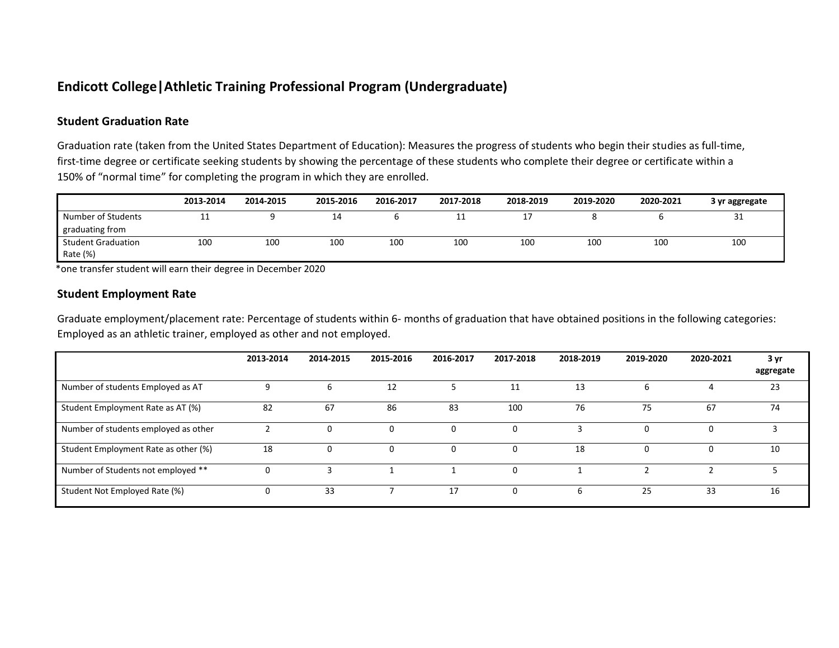### **Endicott College|Athletic Training Professional Program (Undergraduate)**

### **Student Graduation Rate**

Graduation rate (taken from the United States Department of Education): Measures the progress of students who begin their studies as full-time, first-time degree or certificate seeking students by showing the percentage of these students who complete their degree or certificate within a 150% of "normal time" for completing the program in which they are enrolled.

|                                       | 2013-2014 | 2014-2015 | 2015-2016       | 2016-2017 | 2017-2018 | 2018-2019 | 2019-2020 | 2020-2021 | 3 yr aggregate |
|---------------------------------------|-----------|-----------|-----------------|-----------|-----------|-----------|-----------|-----------|----------------|
| Number of Students<br>graduating from | --        |           | 14              |           | <b>++</b> | . .       |           |           | 31             |
| <b>Student Graduation</b><br>Rate (%) | 100       | 100       | 10 <sub>C</sub> | 100       | 100       | 100       | 100       | 100       | 100            |

\*one transfer student will earn their degree in December 2020

#### **Student Employment Rate**

Graduate employment/placement rate: Percentage of students within 6- months of graduation that have obtained positions in the following categories: Employed as an athletic trainer, employed as other and not employed.

|                                      | 2013-2014 | 2014-2015 | 2015-2016 | 2016-2017 | 2017-2018 | 2018-2019 | 2019-2020 | 2020-2021 | 3 yr<br>aggregate |
|--------------------------------------|-----------|-----------|-----------|-----------|-----------|-----------|-----------|-----------|-------------------|
| Number of students Employed as AT    |           | b         | 12        |           | 11        | 13        | ь         |           | 23                |
| Student Employment Rate as AT (%)    | 82        | 67        | 86        | 83        | 100       | 76        | 75        | 67        | 74                |
| Number of students employed as other |           | 0         | 0         | 0         |           |           |           |           |                   |
| Student Employment Rate as other (%) | 18        | 0         | 0         | 0         |           | 18        | 0         |           | 10                |
| Number of Students not employed **   |           |           |           |           |           |           |           |           |                   |
| Student Not Employed Rate (%)        | 0         | 33        |           | 17        | $\Omega$  | 6         | 25        | 33        | 16                |